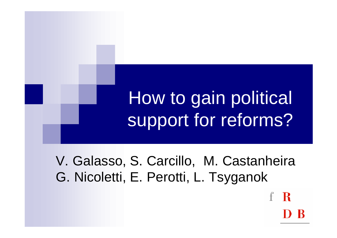# How to gain political support for reforms?

V. Galasso, S. Carcillo, M. Castanheira G. Nicoletti, E. Perotti, L. Tsyganok

R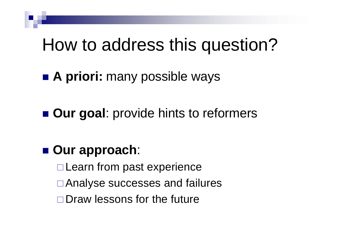## How to address this question?

■ **A priori:** many possible ways

**n** Our goal: provide hints to reformers

#### ■ Our approach:

- $\square$  Learn from past experience
- **□ Analyse successes and failures**
- $\square$  Draw lessons for the future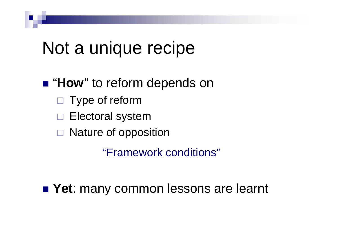### Not a unique recipe

#### ■ "**How**" to reform depends on

- Type of reform
- Electoral system
- $\Box$  Nature of opposition

"Framework conditions"

■ Yet: many common lessons are learnt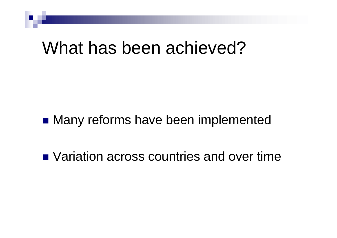### What has been achieved?

#### ■ Many reforms have been implemented

■ Variation across countries and over time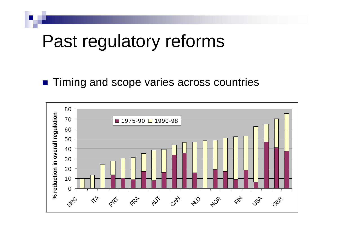### Past regulatory reforms

#### ■ Timing and scope varies across countries

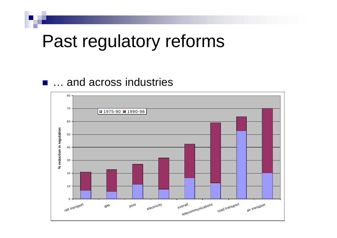### Past regulatory reforms

#### **n** … and across industries

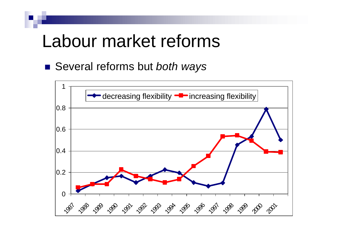### Labour market reforms

■ Several reforms but *both ways* 

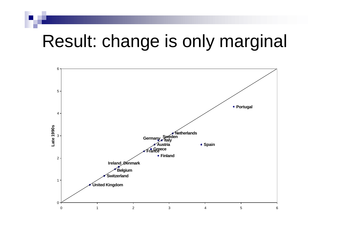## Result: change is only marginal

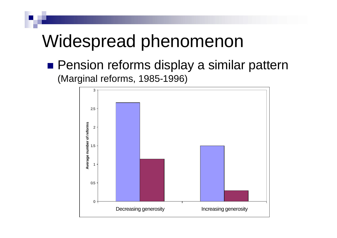### Widespread phenomenon

**n** Pension reforms display a similar pattern (Marginal reforms, 1985-1996)

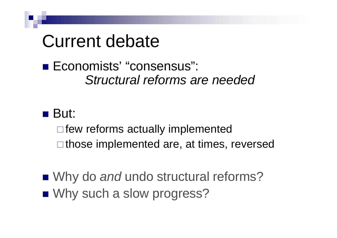### Current debate

#### ■ Economists' "consensus": *Structural reforms are needed*

#### $\blacksquare$  But:

 $\Box$  few reforms actually implemented  $\Box$  those implemented are, at times, reversed

■ Why do *and* undo structural reforms? ■ Why such a slow progress?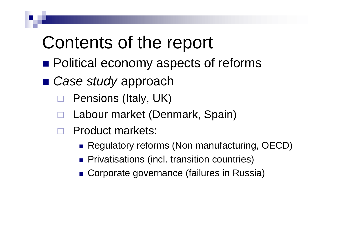## Contents of the report

- **n** Political economy aspects of reforms
- *Case study* approach
	- □ Pensions (Italy, UK)
		- ® Labour market (Denmark, Spain)
	- ® Product markets:
		- Regulatory reforms (Non manufacturing, OECD)
		- **Privatisations (incl. transition countries)**
		- Corporate governance (failures in Russia)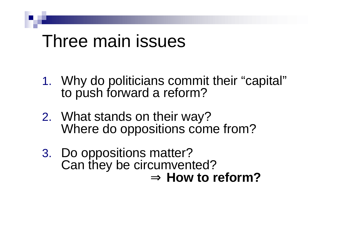### Three main issues

- 1. Why do politicians commit their "capital" to push forward a reform?
- 2. What stands on their way? Where do oppositions come from?
- 3. Do oppositions matter? Can they be circumvented? ⇒ **How to reform?**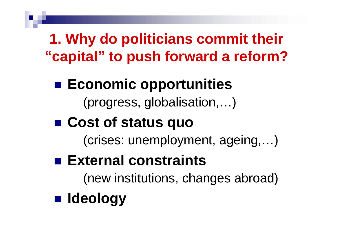**1. Why do politicians commit their "capital" to push forward a reform?**

- Economic opportunities (progress, globalisation,…)
- Cost of status quo

(crises: unemployment, ageing,…)

■ External constraints

(new institutions, changes abroad)

n **Ideology**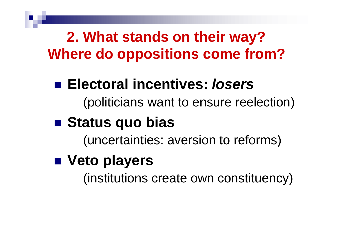**2. What stands on their way? Where do oppositions come from?**

### ■ Electoral incentives: *losers*

(politicians want to ensure reelection)

### ■ Status quo bias

(uncertainties: aversion to reforms)

### n **Veto players**

(institutions create own constituency)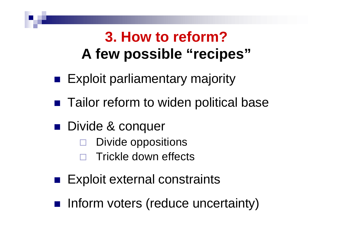### **3. How to reform? A few possible "recipes"**

- **Exploit parliamentary majority**
- Tailor reform to widen political base
- **Divide & conquer** 
	- Divide oppositions
	- ® Trickle down effects
- **Exploit external constraints**
- n Inform voters (reduce uncertainty)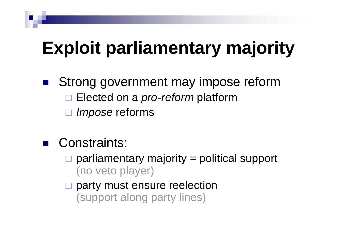- Strong government may impose reform □ Elected on a *pro-reform* platform *Impose* reforms
	- Constraints:
		- ® parliamentary majority = political support (no veto player)
		- party must ensure reelection (support along party lines)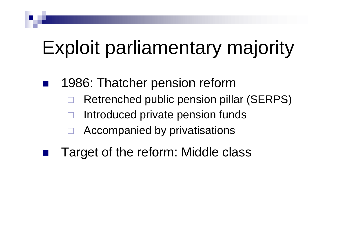- 1986: Thatcher pension reform
	- ® Retrenched public pension pillar (SERPS)
	- Introduced private pension funds
	- Accompanied by privatisations
	- Target of the reform: Middle class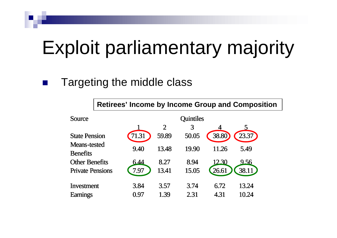#### Targeting the middle class

**Retirees' Income by Income Group and Composition**

| Source                                 | <b>Quintiles</b> |                |       |       |       |
|----------------------------------------|------------------|----------------|-------|-------|-------|
|                                        |                  | $\overline{2}$ | 3     |       |       |
| <b>State Pension</b>                   | 11.31            | 59.89          | 50.05 | 38.80 | 23.37 |
| <b>Means-tested</b><br><b>Benefits</b> | 9.40             | 13.48          | 19.90 | 11.26 | 5.49  |
| <b>Other Benefits</b>                  | 6.44             | 8.27           | 8.94  | 12.30 | 9.56  |
| <b>Private Pensions</b>                | 7.97             | 13.41          | 15.05 | 26.61 | 38.11 |
| Investment                             | 3.84             | 3.57           | 3.74  | 6.72  | 13.24 |
| <b>Earnings</b>                        | 0.97             | 1.39           | 2.31  | 4.31  | 10.24 |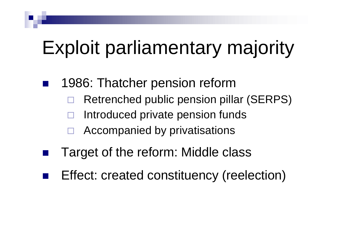- 1986: Thatcher pension reform
	- ® Retrenched public pension pillar (SERPS)
	- Introduced private pension funds
	- Accompanied by privatisations
	- Target of the reform: Middle class
- Effect: created constituency (reelection)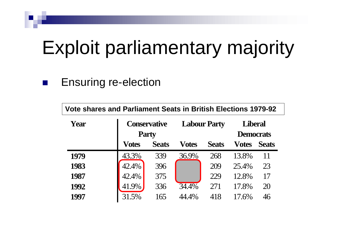#### Ensuring re-election

| <b>Vote shares and Parliament Seats in British Elections 1979-92</b> |                                     |              |              |                     |                                    |              |
|----------------------------------------------------------------------|-------------------------------------|--------------|--------------|---------------------|------------------------------------|--------------|
| Year                                                                 | <b>Conservative</b><br><b>Party</b> |              |              | <b>Labour Party</b> | <b>Liberal</b><br><b>Democrats</b> |              |
|                                                                      | <b>Votes</b>                        | <b>Seats</b> | <b>Votes</b> | <b>Seats</b>        | <b>Votes</b>                       | <b>Seats</b> |
|                                                                      |                                     |              |              |                     |                                    |              |
| 1979                                                                 | 43.3%                               | 339          | 36.9%        | 268                 | 13.8%                              | 11           |
| 1983                                                                 | 42.4%                               | 396          |              | 209                 | 25.4%                              | 23           |
| 1987                                                                 | 42.4%                               | 375          |              | 229                 | 12.8%                              | 17           |
| 1992                                                                 | 41.9%                               | 336          | 34.4%        | 271                 | 17.8%                              | 20           |
| 1997                                                                 | 31.5%                               | 165          | 44.4%        | 418                 | 17.6%                              | 46           |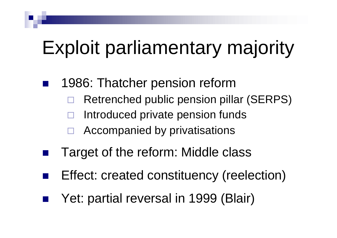- 1986: Thatcher pension reform
	- ® Retrenched public pension pillar (SERPS)
	- Introduced private pension funds
	- Accompanied by privatisations
	- Target of the reform: Middle class
- Effect: created constituency (reelection)
- Yet: partial reversal in 1999 (Blair)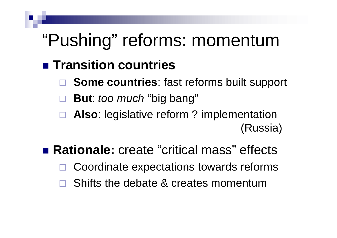## "Pushing" reforms: momentum

#### **n** Transition countries

- **Some countries:** fast reforms built support
- ® **But**: *too much* "big bang"
- □ **Also**: legislative reform ? implementation (Russia)
- Rationale: create "critical mass" effects
	- Coordinate expectations towards reforms
	- Shifts the debate & creates momentum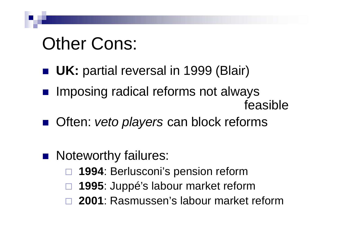## Other Cons:

- **u UK:** partial reversal in 1999 (Blair)
- **n Imposing radical reforms not always** feasible
- Often: *veto players* can block reforms

#### **Noteworthy failures:**

- ® **1994**: Berlusconi's pension reform
- ® **1995**: Juppé's labour market reform
- ® **2001**: Rasmussen's labour market reform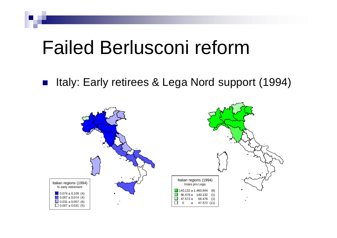# Failed Berlusconi reform

Italy: Early retirees & Lega Nord support (1994)

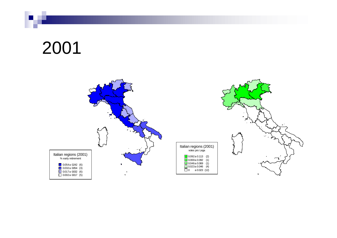### 2001

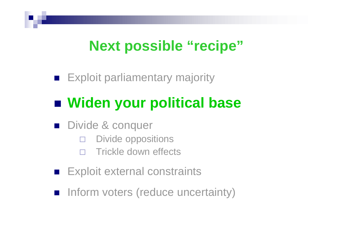#### **Next possible "recipe"**

**Exploit parliamentary majority** 

### ■ Widen your political base

- **n** Divide & conquer
	- **Divide oppositions**
	- **Trickle down effects**
- **Exploit external constraints**
- n Inform voters (reduce uncertainty)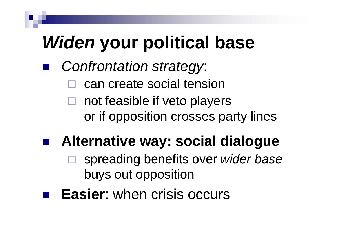- *Confrontation strategy:* 
	- can create social tension
	- $\Box$  not feasible if veto players or if opposition crosses party lines

### n **Alternative way: social dialogue**

- □ spreading benefits over *wider base* buys out opposition
- **Easier:** when crisis occurs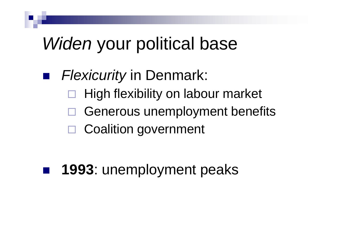### ■ *Flexicurity* in Denmark:

- ® High flexibility on labour market
- $\Box$  Generous unemployment benefits
- □ Coalition government

### **1993**: unemployment peaks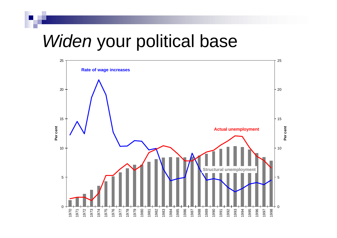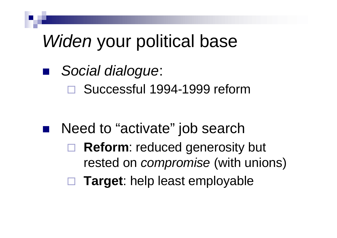### n *Social dialogue*:

□ Successful 1994-1999 reform

### Need to "activate" job search □ Reform: reduced generosity but

- rested on *compromise* (with unions)
- ® **Target**: help least employable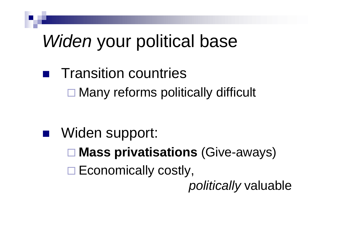- **Transition countries** 
	- $\square$  Many reforms politically difficult

- Widen support:
	- **□ Mass privatisations** (Give-aways)
	- $\square$  Economically costly,

*politically* valuable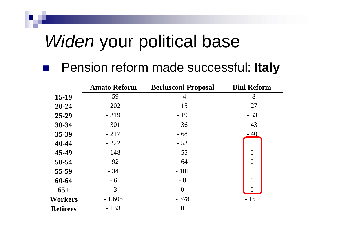#### n Pension reform made successful: **Italy**

|                 | <b>Amato Reform</b> | <b>Berlusconi Proposal</b> | <b>Dini Reform</b> |
|-----------------|---------------------|----------------------------|--------------------|
| 15-19           | $-59$               | $-4$                       | $-8$               |
| $20 - 24$       | $-202$              | $-15$                      | $-27$              |
| 25-29           | $-319$              | $-19$                      | $-33$              |
| 30-34           | $-301$              | $-36$                      | $-43$              |
| 35-39           | $-217$              | $-68$                      | $-40$              |
| 40-44           | $-222$              | $-53$                      | $\theta$           |
| 45-49           | $-148$              | $-55$                      | $\overline{0}$     |
| 50-54           | $-92$               | $-64$                      | $\overline{0}$     |
| 55-59           | $-34$               | $-101$                     | $\overline{0}$     |
| 60-64           | $-6$                | $-8$                       | $\theta$           |
| $65+$           | $-3$                | $\overline{0}$             |                    |
| Workers         | $-1.605$            | $-378$                     | $-151$             |
| <b>Retirees</b> | $-133$              | $\boldsymbol{0}$           | $\boldsymbol{0}$   |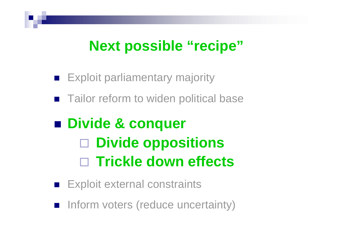#### **Next possible "recipe"**

- **Exploit parliamentary majority**
- Tailor reform to widen political base

### ■ Divide & conquer ® **Divide oppositions** □ Trickle down effects

- **Exploit external constraints**
- n Inform voters (reduce uncertainty)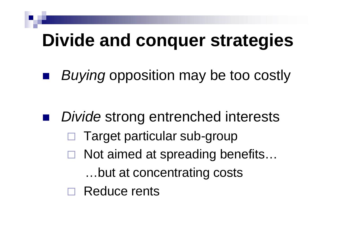## **Divide and conquer strategies**

■ *Buying* opposition may be too costly

**Divide strong entrenched interests**  $\Box$  Target particular sub-group  $\Box$  Not aimed at spreading benefits... …but at concentrating costs □ Reduce rents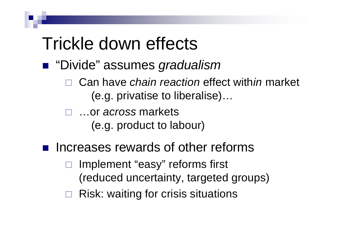## Trickle down effects

- "Divide" assumes *gradualism* 
	- □ Can have *chain reaction* effect with *in* market (e.g. privatise to liberalise)…
	- □ …or *across* markets (e.g. product to labour)
- Increases rewards of other reforms
	- Implement "easy" reforms first (reduced uncertainty, targeted groups)
	- ® Risk: waiting for crisis situations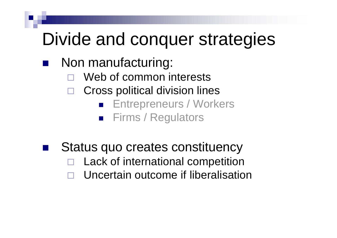## Divide and conquer strategies

- Non manufacturing:
	- Web of common interests
	- Cross political division lines
		- **n** Entrepreneurs / Workers
		- Firms / Regulators
	- Status quo creates constituency Lack of international competition ® Uncertain outcome if liberalisation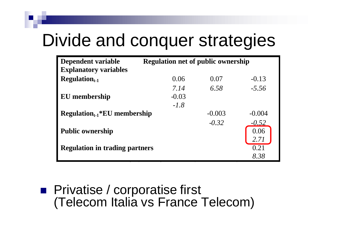## Divide and conquer strategies

| Dependent variable                    | <b>Regulation net of public ownership</b> |          |          |  |
|---------------------------------------|-------------------------------------------|----------|----------|--|
| <b>Explanatory variables</b>          |                                           |          |          |  |
| $Regulariont-1$                       | 0.06                                      | 0.07     | $-0.13$  |  |
|                                       | 7.14                                      | 6.58     | $-5.56$  |  |
| EU membership                         | $-0.03$                                   |          |          |  |
|                                       | $-1.8$                                    |          |          |  |
| $Regularion_{t-1} * EU$ membership    |                                           | $-0.003$ | $-0.004$ |  |
|                                       |                                           | $-0.32$  | $-0.52$  |  |
| <b>Public ownership</b>               |                                           |          | 0.06     |  |
|                                       |                                           |          | 2.71     |  |
| <b>Regulation in trading partners</b> |                                           |          | 0.21     |  |
|                                       |                                           |          | 8.38     |  |

**n** Privatise / corporatise first (Telecom Italia vs France Telecom)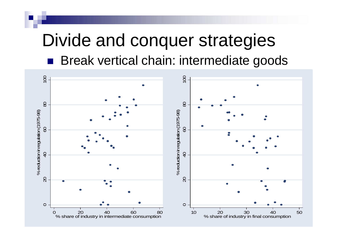### Divide and conquer strategies **n** Break vertical chain: intermediate goods

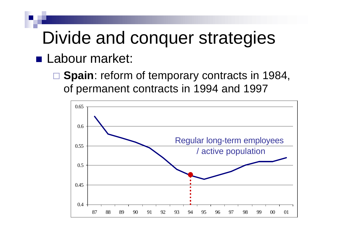# Divide and conquer strategies

#### **n** Labour market:

**□ Spain**: reform of temporary contracts in 1984, of permanent contracts in 1994 and 1997

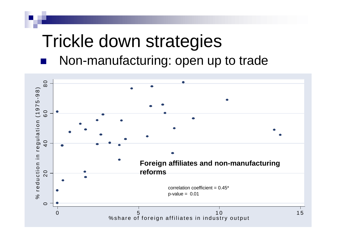# Trickle down strategies

#### Non-manufacturing: open up to trade

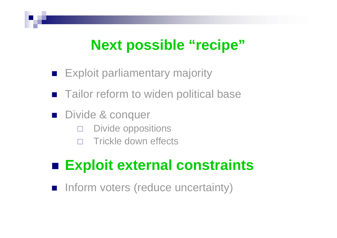### **Next possible "recipe"**

- **Exploit parliamentary majority**
- Tailor reform to widen political base
- Divide & conquer
	- $\square$  Divide oppositions
	- **Trickle down effects**

#### ■ Exploit external constraints

n Inform voters (reduce uncertainty)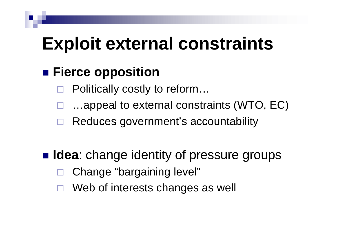# **Exploit external constraints**

#### ■ Fierce opposition

- Politically costly to reform...
- ...appeal to external constraints (WTO, EC)
- Reduces government's accountability

#### **n Idea**: change identity of pressure groups

- Change "bargaining level"
- Web of interests changes as well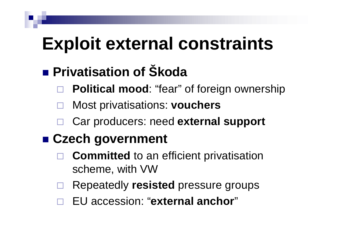# **Exploit external constraints**

### **n** Privatisation of Škoda

- **Political mood: "fear" of foreign ownership**
- ® Most privatisations: **vouchers**
- ® Car producers: need **external support**

#### ■ Czech government

- **Committed** to an efficient privatisation scheme, with VW
- ® Repeatedly **resisted** pressure groups
- ® EU accession: "**external anchor**"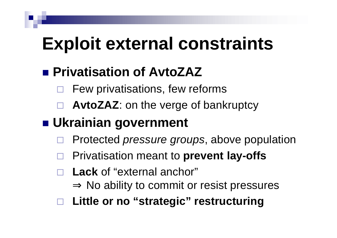# **Exploit external constraints**

#### **■ Privatisation of AvtoZAZ**

- Few privatisations, few reforms
- AvtoZAZ: on the verge of bankruptcy

#### **n** Ukrainian government

- ® Protected *pressure groups*, above population
- ® Privatisation meant to **prevent lay-offs**
- Lack of "external anchor"  $\Rightarrow$  No ability to commit or resist pressures
- ® **Little or no "strategic" restructuring**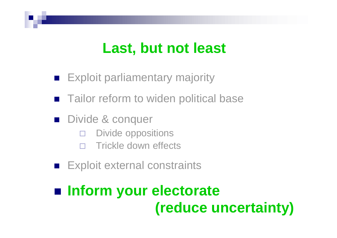#### **Last, but not least**

- **Exploit parliamentary majority**
- Tailor reform to widen political base
- **n** Divide & conquer
	- **Divide oppositions**
	- **Trickle down effects**
- **Exploit external constraints**

### ■ Inform your electorate **(reduce uncertainty)**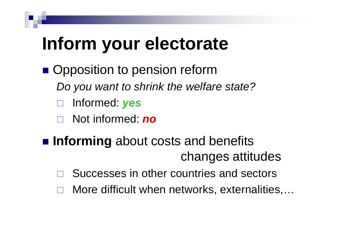# **Inform your electorate**

- **n** Opposition to pension reform
	- *Do you want to shrink the welfare state?*
	- ® Informed: *yes*
	- ® Not informed: *no*
- **n Informing** about costs and benefits changes attitudes
	- Successes in other countries and sectors
	- More difficult when networks, externalities,...